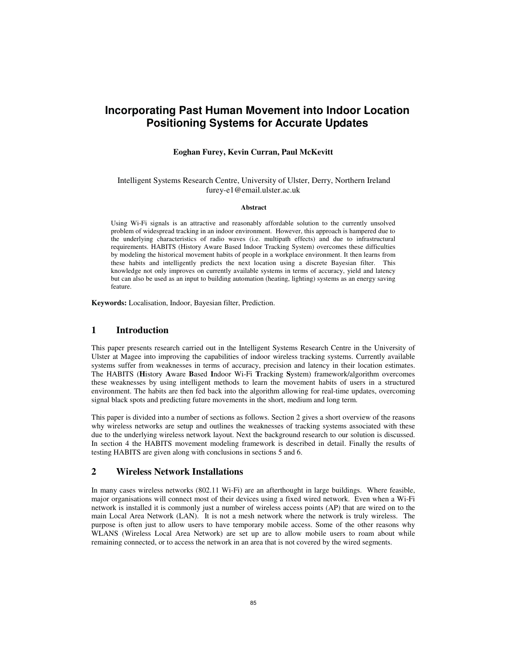# **Incorporating Past Human Movement into Indoor Location Positioning Systems for Accurate Updates**

#### **Eoghan Furey, Kevin Curran, Paul McKevitt**

#### Intelligent Systems Research Centre, University of Ulster, Derry, Northern Ireland furey-e1@email.ulster.ac.uk

#### **Abstract**

Using Wi-Fi signals is an attractive and reasonably affordable solution to the currently unsolved problem of widespread tracking in an indoor environment. However, this approach is hampered due to the underlying characteristics of radio waves (i.e. multipath effects) and due to infrastructural requirements. HABITS (History Aware Based Indoor Tracking System) overcomes these difficulties by modeling the historical movement habits of people in a workplace environment. It then learns from these habits and intelligently predicts the next location using a discrete Bayesian filter. This knowledge not only improves on currently available systems in terms of accuracy, yield and latency but can also be used as an input to building automation (heating, lighting) systems as an energy saving feature.

**Keywords:** Localisation, Indoor, Bayesian filter, Prediction.

### **1 Introduction**

This paper presents research carried out in the Intelligent Systems Research Centre in the University of Ulster at Magee into improving the capabilities of indoor wireless tracking systems. Currently available systems suffer from weaknesses in terms of accuracy, precision and latency in their location estimates. The HABITS (**H**istory **A**ware **B**ased **I**ndoor Wi-Fi **T**racking **S**ystem) framework/algorithm overcomes these weaknesses by using intelligent methods to learn the movement habits of users in a structured environment. The habits are then fed back into the algorithm allowing for real-time updates, overcoming signal black spots and predicting future movements in the short, medium and long term.

This paper is divided into a number of sections as follows. Section 2 gives a short overview of the reasons why wireless networks are setup and outlines the weaknesses of tracking systems associated with these due to the underlying wireless network layout. Next the background research to our solution is discussed. In section 4 the HABITS movement modeling framework is described in detail. Finally the results of testing HABITS are given along with conclusions in sections 5 and 6.

#### **2 Wireless Network Installations**

In many cases wireless networks (802.11 Wi-Fi) are an afterthought in large buildings. Where feasible, major organisations will connect most of their devices using a fixed wired network. Even when a Wi-Fi network is installed it is commonly just a number of wireless access points (AP) that are wired on to the main Local Area Network (LAN). It is not a mesh network where the network is truly wireless. The purpose is often just to allow users to have temporary mobile access. Some of the other reasons why WLANS (Wireless Local Area Network) are set up are to allow mobile users to roam about while remaining connected, or to access the network in an area that is not covered by the wired segments.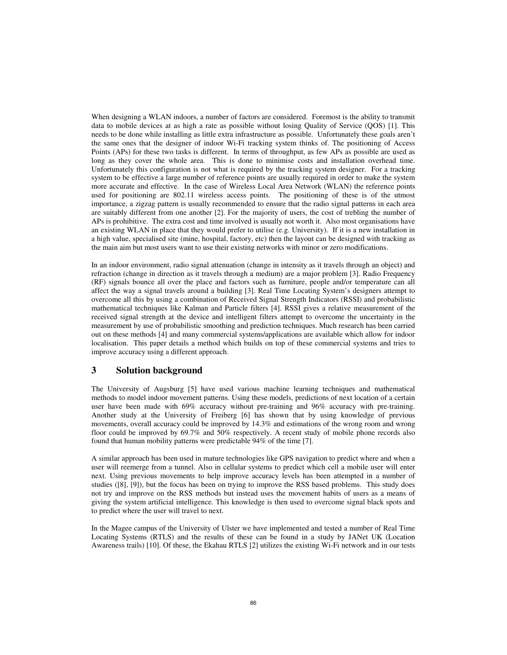When designing a WLAN indoors, a number of factors are considered. Foremost is the ability to transmit data to mobile devices at as high a rate as possible without losing Quality of Service (QOS) [1]. This needs to be done while installing as little extra infrastructure as possible. Unfortunately these goals aren't the same ones that the designer of indoor Wi-Fi tracking system thinks of. The positioning of Access Points (APs) for these two tasks is different. In terms of throughput, as few APs as possible are used as long as they cover the whole area. This is done to minimise costs and installation overhead time. Unfortunately this configuration is not what is required by the tracking system designer. For a tracking system to be effective a large number of reference points are usually required in order to make the system more accurate and effective. In the case of Wireless Local Area Network (WLAN) the reference points used for positioning are 802.11 wireless access points. The positioning of these is of the utmost importance, a zigzag pattern is usually recommended to ensure that the radio signal patterns in each area are suitably different from one another [2]. For the majority of users, the cost of trebling the number of APs is prohibitive. The extra cost and time involved is usually not worth it. Also most organisations have an existing WLAN in place that they would prefer to utilise (e.g. University). If it is a new installation in a high value, specialised site (mine, hospital, factory, etc) then the layout can be designed with tracking as the main aim but most users want to use their existing networks with minor or zero modifications.

In an indoor environment, radio signal attenuation (change in intensity as it travels through an object) and refraction (change in direction as it travels through a medium) are a major problem [3]. Radio Frequency (RF) signals bounce all over the place and factors such as furniture, people and/or temperature can all affect the way a signal travels around a building [3]. Real Time Locating System's designers attempt to overcome all this by using a combination of Received Signal Strength Indicators (RSSI) and probabilistic mathematical techniques like Kalman and Particle filters [4]. RSSI gives a relative measurement of the received signal strength at the device and intelligent filters attempt to overcome the uncertainty in the measurement by use of probabilistic smoothing and prediction techniques. Much research has been carried out on these methods [4] and many commercial systems/applications are available which allow for indoor localisation. This paper details a method which builds on top of these commercial systems and tries to improve accuracy using a different approach.

### **3 Solution background**

The University of Augsburg [5] have used various machine learning techniques and mathematical methods to model indoor movement patterns. Using these models, predictions of next location of a certain user have been made with 69% accuracy without pre-training and 96% accuracy with pre-training. Another study at the University of Freiberg [6] has shown that by using knowledge of previous movements, overall accuracy could be improved by 14.3% and estimations of the wrong room and wrong floor could be improved by 69.7% and 50% respectively. A recent study of mobile phone records also found that human mobility patterns were predictable 94% of the time [7].

A similar approach has been used in mature technologies like GPS navigation to predict where and when a user will reemerge from a tunnel. Also in cellular systems to predict which cell a mobile user will enter next. Using previous movements to help improve accuracy levels has been attempted in a number of studies ([8], [9]), but the focus has been on trying to improve the RSS based problems. This study does not try and improve on the RSS methods but instead uses the movement habits of users as a means of giving the system artificial intelligence. This knowledge is then used to overcome signal black spots and to predict where the user will travel to next.

In the Magee campus of the University of Ulster we have implemented and tested a number of Real Time Locating Systems (RTLS) and the results of these can be found in a study by JANet UK (Location Awareness trails) [10]. Of these, the Ekahau RTLS [2] utilizes the existing Wi-Fi network and in our tests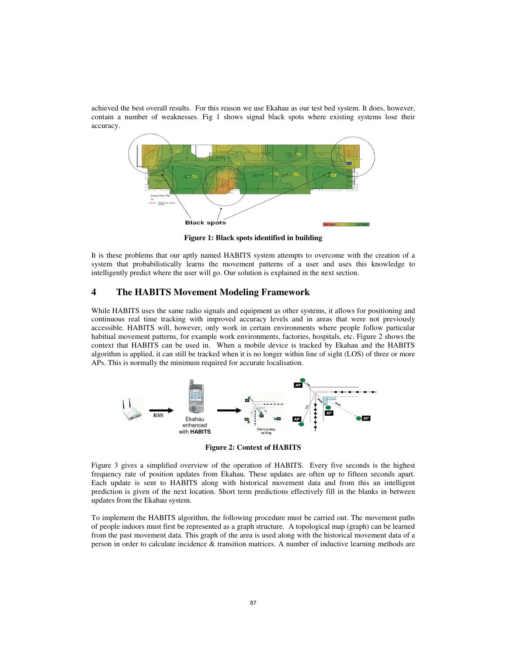achieved the best overall results. For this reason we use Ekahau as our test bed system. It does, however, contain a number of weaknesses. Fig 1 shows signal black spots where existing systems lose their accuracy.



**Figure 1: Black spots identified in building** 

It is these problems that our aptly named HABITS system attempts to overcome with the creation of a system that probabilistically learns the movement patterns of a user and uses this knowledge to intelligently predict where the user will go. Our solution is explained in the next section.

# **4 The HABITS Movement Modeling Framework**

While HABITS uses the same radio signals and equipment as other systems, it allows for positioning and continuous real time tracking with improved accuracy levels and in areas that were not previously accessible. HABITS will, however, only work in certain environments where people follow particular habitual movement patterns, for example work environments, factories, hospitals, etc. Figure 2 shows the context that HABITS can be used in. When a mobile device is tracked by Ekahau and the HABITS algorithm is applied, it can still be tracked when it is no longer within line of sight (LOS) of three or more APs. This is normally the minimum required for accurate localisation.



**Figure 2: Context of HABITS** 

Figure 3 gives a simplified overview of the operation of HABITS. Every five seconds is the highest frequency rate of position updates from Ekahau. These updates are often up to fifteen seconds apart. Each update is sent to HABITS along with historical movement data and from this an intelligent prediction is given of the next location. Short term predictions effectively fill in the blanks in between updates from the Ekahau system.

To implement the HABITS algorithm, the following procedure must be carried out. The movement paths of people indoors must first be represented as a graph structure. A topological map (graph) can be learned from the past movement data. This graph of the area is used along with the historical movement data of a person in order to calculate incidence & transition matrices. A number of inductive learning methods are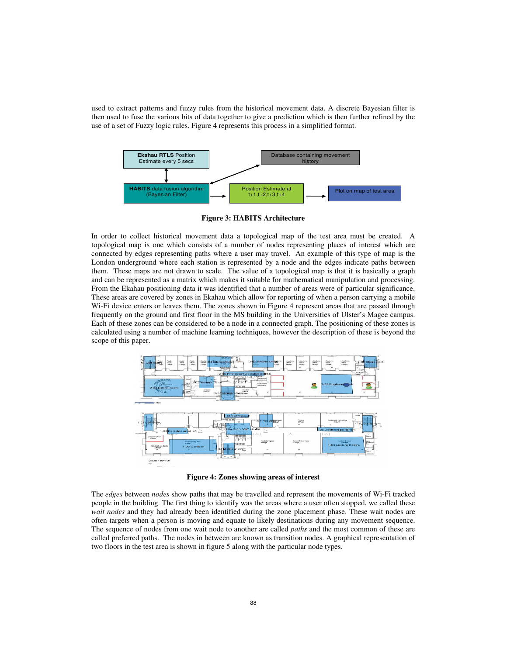used to extract patterns and fuzzy rules from the historical movement data. A discrete Bayesian filter is then used to fuse the various bits of data together to give a prediction which is then further refined by the use of a set of Fuzzy logic rules. Figure 4 represents this process in a simplified format.



**Figure 3: HABITS Architecture** 

In order to collect historical movement data a topological map of the test area must be created. A topological map is one which consists of a number of nodes representing places of interest which are connected by edges representing paths where a user may travel. An example of this type of map is the London underground where each station is represented by a node and the edges indicate paths between them. These maps are not drawn to scale. The value of a topological map is that it is basically a graph and can be represented as a matrix which makes it suitable for mathematical manipulation and processing. From the Ekahau positioning data it was identified that a number of areas were of particular significance. These areas are covered by zones in Ekahau which allow for reporting of when a person carrying a mobile Wi-Fi device enters or leaves them. The zones shown in Figure 4 represent areas that are passed through frequently on the ground and first floor in the MS building in the Universities of Ulster's Magee campus. Each of these zones can be considered to be a node in a connected graph. The positioning of these zones is calculated using a number of machine learning techniques, however the description of these is beyond the scope of this paper.



**Figure 4: Zones showing areas of interest**

The *edges* between *nodes* show paths that may be travelled and represent the movements of Wi-Fi tracked people in the building. The first thing to identify was the areas where a user often stopped, we called these *wait nodes* and they had already been identified during the zone placement phase. These wait nodes are often targets when a person is moving and equate to likely destinations during any movement sequence. The sequence of nodes from one wait node to another are called *paths* and the most common of these are called preferred paths. The nodes in between are known as transition nodes. A graphical representation of two floors in the test area is shown in figure 5 along with the particular node types.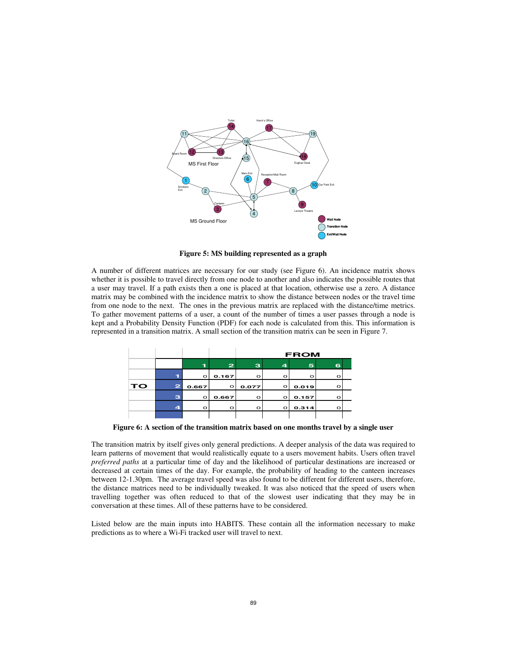

**Figure 5: MS building represented as a graph** 

A number of different matrices are necessary for our study (see Figure 6). An incidence matrix shows whether it is possible to travel directly from one node to another and also indicates the possible routes that a user may travel. If a path exists then a one is placed at that location, otherwise use a zero. A distance matrix may be combined with the incidence matrix to show the distance between nodes or the travel time from one node to the next. The ones in the previous matrix are replaced with the distance/time metrics. To gather movement patterns of a user, a count of the number of times a user passes through a node is kept and a Probability Density Function (PDF) for each node is calculated from this. This information is represented in a transition matrix. A small section of the transition matrix can be seen in Figure 7.

|    |                         |         |              | <b>FROM</b> |                         |         |   |  |
|----|-------------------------|---------|--------------|-------------|-------------------------|---------|---|--|
|    |                         | T.      | $\mathbf{z}$ | з           | $\overline{\mathbf{4}}$ | 5       | 6 |  |
|    |                         | $\circ$ | 0.167        | $\circ$     | $\circ$                 | $\circ$ | о |  |
| TO | $\mathbf{z}$            | 0.667   | $\circ$      | 0.077       | $\circ$                 | 0.019   | റ |  |
|    | з                       | $\circ$ | 0.667        | $\circ$     | $\circ$                 | 0.157   | о |  |
|    | $\overline{\mathbf{4}}$ | Ω       | $\circ$      | $\circ$     | $\circ$                 | 0.314   | O |  |
|    |                         |         |              |             |                         |         |   |  |

**Figure 6: A section of the transition matrix based on one months travel by a single user**

The transition matrix by itself gives only general predictions. A deeper analysis of the data was required to learn patterns of movement that would realistically equate to a users movement habits. Users often travel *preferred paths* at a particular time of day and the likelihood of particular destinations are increased or decreased at certain times of the day. For example, the probability of heading to the canteen increases between 12-1.30pm. The average travel speed was also found to be different for different users, therefore, the distance matrices need to be individually tweaked. It was also noticed that the speed of users when travelling together was often reduced to that of the slowest user indicating that they may be in conversation at these times. All of these patterns have to be considered.

Listed below are the main inputs into HABITS. These contain all the information necessary to make predictions as to where a Wi-Fi tracked user will travel to next.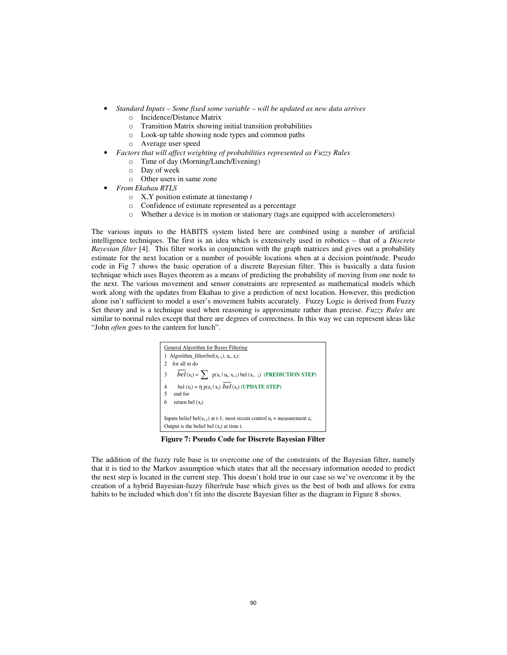- *Standard Inputs Some fixed some variable will be updated as new data arrives* 
	- o Incidence/Distance Matrix
	- o Transition Matrix showing initial transition probabilities
	- o Look-up table showing node types and common paths
	- o Average user speed
- *Factors that will affect weighting of probabilities represented as Fuzzy Rules* 
	- o Time of day (Morning/Lunch/Evening)
	- o Day of week
	- o Other users in same zone
	- *From Ekahau RTLS* 
		- o X,Y position estimate at timestamp *t*
		- o Confidence of estimate represented as a percentage
		- o Whether a device is in motion or stationary (tags are equipped with accelerometers)

The various inputs to the HABITS system listed here are combined using a number of artificial intelligence techniques. The first is an idea which is extensively used in robotics – that of a *Discrete Bayesian filter* [4]. This filter works in conjunction with the graph matrices and gives out a probability estimate for the next location or a number of possible locations when at a decision point/node. Pseudo code in Fig 7 shows the basic operation of a discrete Bayesian filter. This is basically a data fusion technique which uses Bayes theorem as a means of predicting the probability of moving from one node to the next. The various movement and sensor constraints are represented as mathematical models which work along with the updates from Ekahau to give a prediction of next location. However, this prediction alone isn't sufficient to model a user's movement habits accurately. Fuzzy Logic is derived from Fuzzy Set theory and is a technique used when reasoning is approximate rather than precise. *Fuzzy Rules* are similar to normal rules except that there are degrees of correctness. In this way we can represent ideas like "John *often* goes to the canteen for lunch".



**Figure 7: Pseudo Code for Discrete Bayesian Filter** 

The addition of the fuzzy rule base is to overcome one of the constraints of the Bayesian filter, namely that it is tied to the Markov assumption which states that all the necessary information needed to predict the next step is located in the current step. This doesn't hold true in our case so we've overcome it by the creation of a hybrid Bayesian-fuzzy filter/rule base which gives us the best of both and allows for extra habits to be included which don't fit into the discrete Bayesian filter as the diagram in Figure 8 shows.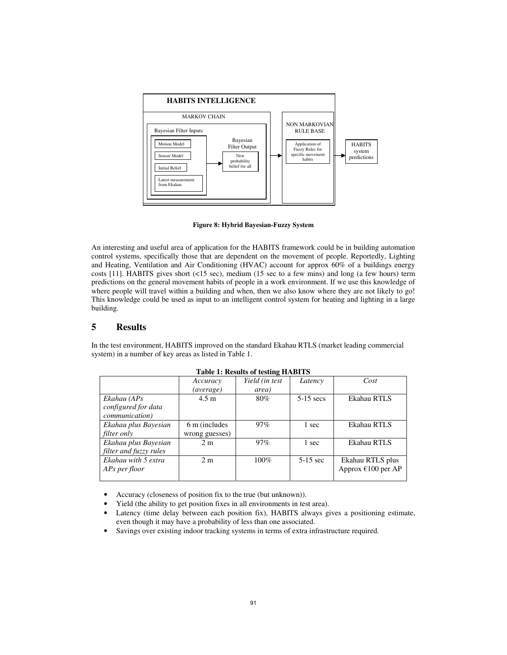

**Figure 8: Hybrid Bayesian-Fuzzy System**

An interesting and useful area of application for the HABITS framework could be in building automation control systems, specifically those that are dependent on the movement of people. Reportedly, Lighting and Heating, Ventilation and Air Conditioning (HVAC) account for approx 60% of a buildings energy costs [11]. HABITS gives short (<15 sec), medium (15 sec to a few mins) and long (a few hours) term predictions on the general movement habits of people in a work environment. If we use this knowledge of where people will travel within a building and when, then we also know where they are not likely to go! This knowledge could be used as input to an intelligent control system for heating and lighting in a large building.

# **5 Results**

In the test environment, HABITS improved on the standard Ekahau RTLS (market leading commercial system) in a number of key areas as listed in Table 1.

|                        | Accuracy        | Yield (in test | Latency     | Cost                 |  |  |  |  |  |  |
|------------------------|-----------------|----------------|-------------|----------------------|--|--|--|--|--|--|
|                        | (average)       | area)          |             |                      |  |  |  |  |  |  |
| Ekahau (APs            | $4.5 \text{ m}$ | 80%            | $5-15$ secs | Ekahau RTLS          |  |  |  |  |  |  |
| configured for data    |                 |                |             |                      |  |  |  |  |  |  |
| <i>communication</i> ) |                 |                |             |                      |  |  |  |  |  |  |
| Ekahau plus Bayesian   | 6 m (includes)  | 97%            | 1 sec       | Ekahau RTLS          |  |  |  |  |  |  |
| <i>filter only</i>     | wrong guesses)  |                |             |                      |  |  |  |  |  |  |
| Ekahau plus Bayesian   | 2 <sub>m</sub>  | 97%            | 1 sec       | Ekahau RTLS          |  |  |  |  |  |  |
| filter and fuzzy rules |                 |                |             |                      |  |  |  |  |  |  |
| Ekahau with 5 extra    | 2 <sub>m</sub>  | $100\%$        | $5-15$ sec  | Ekahau RTLS plus     |  |  |  |  |  |  |
| APs per floor          |                 |                |             | Approx $£100$ per AP |  |  |  |  |  |  |
|                        |                 |                |             |                      |  |  |  |  |  |  |

| Table 1: Results of testing HABITS |  |  |  |  |  |
|------------------------------------|--|--|--|--|--|
|------------------------------------|--|--|--|--|--|

• Accuracy (closeness of position fix to the true (but unknown)).

- Yield (the ability to get position fixes in all environments in test area).
- Latency (time delay between each position fix), HABITS always gives a positioning estimate, even though it may have a probability of less than one associated.
- Savings over existing indoor tracking systems in terms of extra infrastructure required.